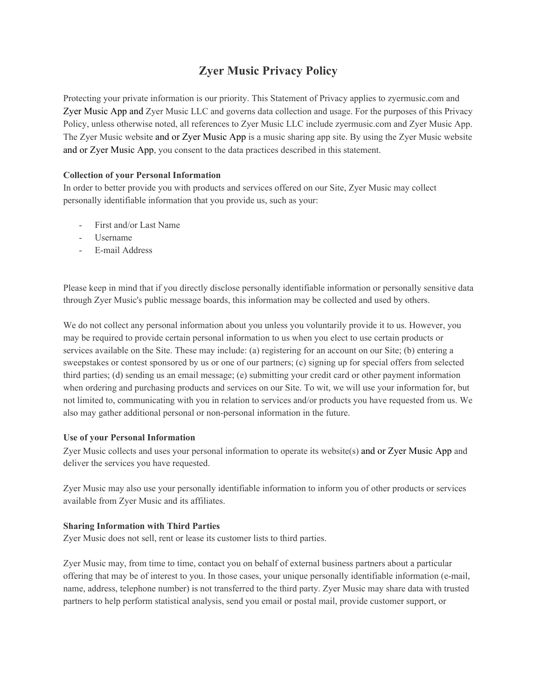# **Zyer Music Privacy Policy**

Protecting your private information is our priority. This Statement of Privacy applies to zyermusic.com and Zyer Music App and Zyer Music LLC and governs data collection and usage. For the purposes of this Privacy Policy, unless otherwise noted, all references to Zyer Music LLC include zyermusic.com and Zyer Music App. The Zyer Music website and or Zyer Music App is a music sharing app site. By using the Zyer Music website and or Zyer Music App, you consent to the data practices described in this statement.

## **Collection of your Personal Information**

In order to better provide you with products and services offered on our Site, Zyer Music may collect personally identifiable information that you provide us, such as your:

- First and/or Last Name
- Username
- E-mail Address

Please keep in mind that if you directly disclose personally identifiable information or personally sensitive data through Zyer Music's public message boards, this information may be collected and used by others.

We do not collect any personal information about you unless you voluntarily provide it to us. However, you may be required to provide certain personal information to us when you elect to use certain products or services available on the Site. These may include: (a) registering for an account on our Site; (b) entering a sweepstakes or contest sponsored by us or one of our partners; (c) signing up for special offers from selected third parties; (d) sending us an email message; (e) submitting your credit card or other payment information when ordering and purchasing products and services on our Site. To wit, we will use your information for, but not limited to, communicating with you in relation to services and/or products you have requested from us. We also may gather additional personal or non-personal information in the future.

## **Use of your Personal Information**

Zyer Music collects and uses your personal information to operate its website(s) and or Zyer Music App and deliver the services you have requested.

Zyer Music may also use your personally identifiable information to inform you of other products or services available from Zyer Music and its affiliates.

## **Sharing Information with Third Parties**

Zyer Music does not sell, rent or lease its customer lists to third parties.

Zyer Music may, from time to time, contact you on behalf of external business partners about a particular offering that may be of interest to you. In those cases, your unique personally identifiable information (e-mail, name, address, telephone number) is not transferred to the third party. Zyer Music may share data with trusted partners to help perform statistical analysis, send you email or postal mail, provide customer support, or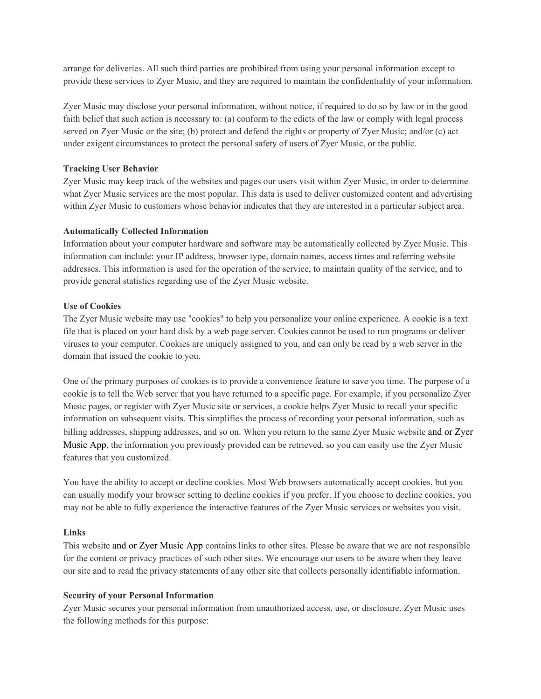arrange for deliveries. All such third parties are prohibited from using your personal information except to provide these services to Zyer Music, and they are required to maintain the confidentiality of your information.

Zyer Music may disclose your personal information, without notice, if required to do so by law or in the good faith belief that such action is necessary to: (a) conform to the edicts of the law or comply with legal process served on Zyer Music or the site; (b) protect and defend the rights or property of Zyer Music; and/or (c) act under exigent circumstances to protect the personal safety of users of Zyer Music, or the public.

# **Tracking User Behavior**

Zyer Music may keep track of the websites and pages our users visit within Zyer Music, in order to determine what Zyer Music services are the most popular. This data is used to deliver customized content and advertising within Zyer Music to customers whose behavior indicates that they are interested in a particular subject area.

## **Automatically Collected Information**

Information about your computer hardware and software may be automatically collected by Zyer Music. This information can include: your IP address, browser type, domain names, access times and referring website addresses. This information is used for the operation of the service, to maintain quality of the service, and to provide general statistics regarding use of the Zyer Music website.

# **Use of Cookies**

The Zyer Music website may use "cookies" to help you personalize your online experience. A cookie is a text file that is placed on your hard disk by a web page server. Cookies cannot be used to run programs or deliver viruses to your computer. Cookies are uniquely assigned to you, and can only be read by a web server in the domain that issued the cookie to you.

One of the primary purposes of cookies is to provide a convenience feature to save you time. The purpose of a cookie is to tell the Web server that you have returned to a specific page. For example, if you personalize Zyer Music pages, or register with Zyer Music site or services, a cookie helps Zyer Music to recall your specific information on subsequent visits. This simplifies the process of recording your personal information, such as billing addresses, shipping addresses, and so on. When you return to the same Zyer Music website and or Zyer Music App, the information you previously provided can be retrieved, so you can easily use the Zyer Music features that you customized.

You have the ability to accept or decline cookies. Most Web browsers automatically accept cookies, but you can usually modify your browser setting to decline cookies if you prefer. If you choose to decline cookies, you may not be able to fully experience the interactive features of the Zyer Music services or websites you visit.

## **Links**

This website and or Zyer Music App contains links to other sites. Please be aware that we are not responsible for the content or privacy practices of such other sites. We encourage our users to be aware when they leave our site and to read the privacy statements of any other site that collects personally identifiable information.

## **Security of your Personal Information**

Zyer Music secures your personal information from unauthorized access, use, or disclosure. Zyer Music uses the following methods for this purpose: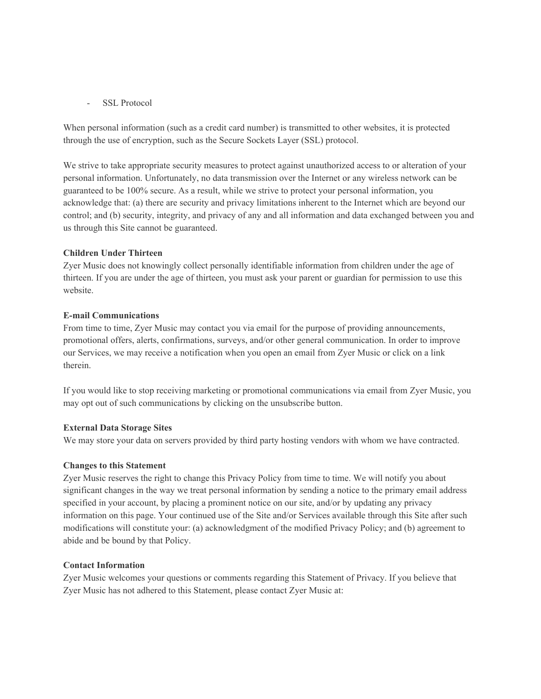#### SSL Protocol

When personal information (such as a credit card number) is transmitted to other websites, it is protected through the use of encryption, such as the Secure Sockets Layer (SSL) protocol.

We strive to take appropriate security measures to protect against unauthorized access to or alteration of your personal information. Unfortunately, no data transmission over the Internet or any wireless network can be guaranteed to be 100% secure. As a result, while we strive to protect your personal information, you acknowledge that: (a) there are security and privacy limitations inherent to the Internet which are beyond our control; and (b) security, integrity, and privacy of any and all information and data exchanged between you and us through this Site cannot be guaranteed.

#### **Children Under Thirteen**

Zyer Music does not knowingly collect personally identifiable information from children under the age of thirteen. If you are under the age of thirteen, you must ask your parent or guardian for permission to use this website.

#### **E-mail Communications**

From time to time, Zyer Music may contact you via email for the purpose of providing announcements, promotional offers, alerts, confirmations, surveys, and/or other general communication. In order to improve our Services, we may receive a notification when you open an email from Zyer Music or click on a link therein.

If you would like to stop receiving marketing or promotional communications via email from Zyer Music, you may opt out of such communications by clicking on the unsubscribe button.

## **External Data Storage Sites**

We may store your data on servers provided by third party hosting vendors with whom we have contracted.

#### **Changes to this Statement**

Zyer Music reserves the right to change this Privacy Policy from time to time. We will notify you about significant changes in the way we treat personal information by sending a notice to the primary email address specified in your account, by placing a prominent notice on our site, and/or by updating any privacy information on this page. Your continued use of the Site and/or Services available through this Site after such modifications will constitute your: (a) acknowledgment of the modified Privacy Policy; and (b) agreement to abide and be bound by that Policy.

## **Contact Information**

Zyer Music welcomes your questions or comments regarding this Statement of Privacy. If you believe that Zyer Music has not adhered to this Statement, please contact Zyer Music at: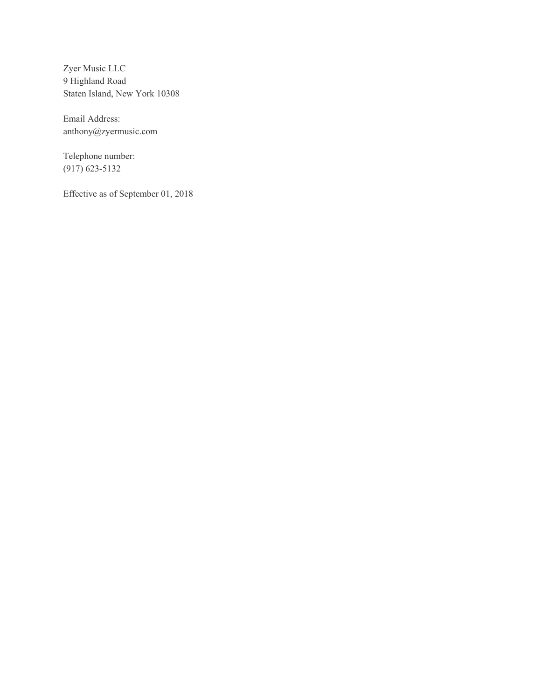Zyer Music LLC 9 Highland Road Staten Island, New York 10308

Email Address: anthony@zyermusic.com

Telephone number: (917) 623-5132

Effective as of September 01, 2018